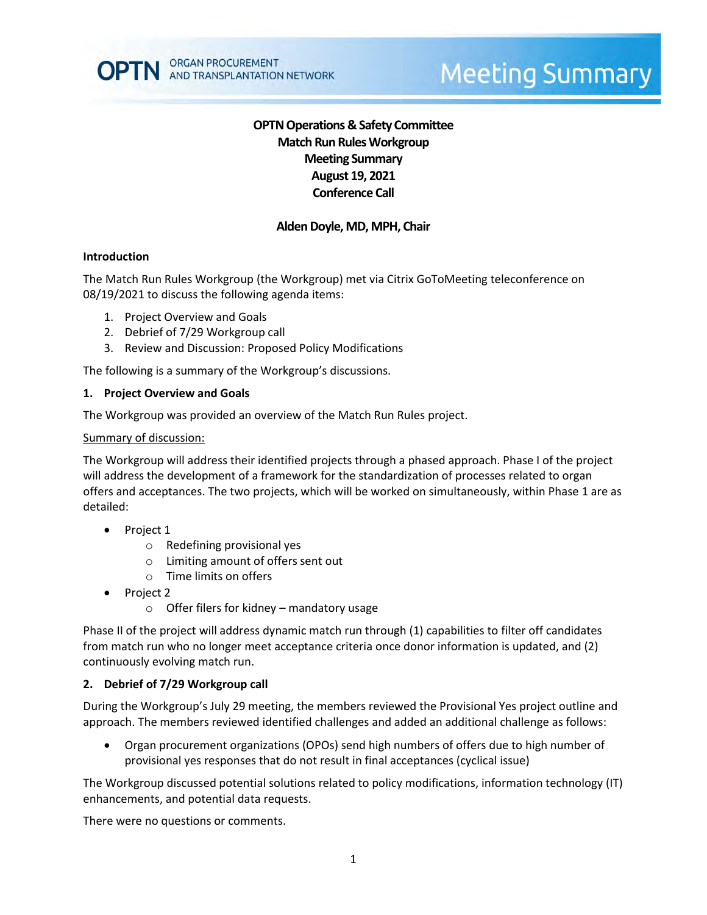## **OPTN Operations & Safety Committee Match Run RulesWorkgroup Meeting Summary August 19, 2021 Conference Call**

## **Alden Doyle, MD, MPH, Chair**

#### **Introduction**

The Match Run Rules Workgroup (the Workgroup) met via Citrix GoToMeeting teleconference on 08/19/2021 to discuss the following agenda items:

- 1. Project Overview and Goals
- 2. Debrief of 7/29 Workgroup call
- 3. Review and Discussion: Proposed Policy Modifications

The following is a summary of the Workgroup's discussions.

#### **1. Project Overview and Goals**

The Workgroup was provided an overview of the Match Run Rules project.

#### Summary of discussion:

The Workgroup will address their identified projects through a phased approach. Phase I of the project will address the development of a framework for the standardization of processes related to organ offers and acceptances. The two projects, which will be worked on simultaneously, within Phase 1 are as detailed:

- Project 1
	- o Redefining provisional yes
	- o Limiting amount of offers sent out
	- o Time limits on offers
- Project 2
	- $\circ$  Offer filers for kidney mandatory usage

Phase II of the project will address dynamic match run through (1) capabilities to filter off candidates from match run who no longer meet acceptance criteria once donor information is updated, and (2) continuously evolving match run.

#### **2. Debrief of 7/29 Workgroup call**

During the Workgroup's July 29 meeting, the members reviewed the Provisional Yes project outline and approach. The members reviewed identified challenges and added an additional challenge as follows:

 Organ procurement organizations (OPOs) send high numbers of offers due to high number of provisional yes responses that do not result in final acceptances (cyclical issue)

The Workgroup discussed potential solutions related to policy modifications, information technology (IT) enhancements, and potential data requests.

There were no questions or comments.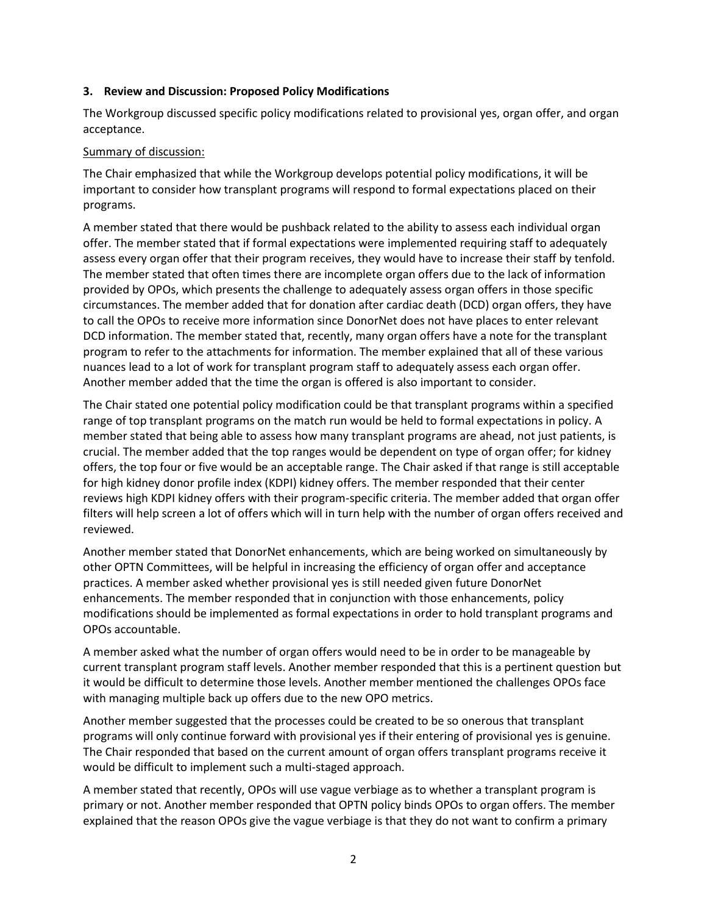#### **3. Review and Discussion: Proposed Policy Modifications**

The Workgroup discussed specific policy modifications related to provisional yes, organ offer, and organ acceptance.

#### Summary of discussion:

The Chair emphasized that while the Workgroup develops potential policy modifications, it will be important to consider how transplant programs will respond to formal expectations placed on their programs.

A member stated that there would be pushback related to the ability to assess each individual organ offer. The member stated that if formal expectations were implemented requiring staff to adequately assess every organ offer that their program receives, they would have to increase their staff by tenfold. The member stated that often times there are incomplete organ offers due to the lack of information provided by OPOs, which presents the challenge to adequately assess organ offers in those specific circumstances. The member added that for donation after cardiac death (DCD) organ offers, they have to call the OPOs to receive more information since DonorNet does not have places to enter relevant DCD information. The member stated that, recently, many organ offers have a note for the transplant program to refer to the attachments for information. The member explained that all of these various nuances lead to a lot of work for transplant program staff to adequately assess each organ offer. Another member added that the time the organ is offered is also important to consider.

The Chair stated one potential policy modification could be that transplant programs within a specified range of top transplant programs on the match run would be held to formal expectations in policy. A member stated that being able to assess how many transplant programs are ahead, not just patients, is crucial. The member added that the top ranges would be dependent on type of organ offer; for kidney offers, the top four or five would be an acceptable range. The Chair asked if that range is still acceptable for high kidney donor profile index (KDPI) kidney offers. The member responded that their center reviews high KDPI kidney offers with their program-specific criteria. The member added that organ offer filters will help screen a lot of offers which will in turn help with the number of organ offers received and reviewed.

Another member stated that DonorNet enhancements, which are being worked on simultaneously by other OPTN Committees, will be helpful in increasing the efficiency of organ offer and acceptance practices. A member asked whether provisional yes is still needed given future DonorNet enhancements. The member responded that in conjunction with those enhancements, policy modifications should be implemented as formal expectations in order to hold transplant programs and OPOs accountable.

A member asked what the number of organ offers would need to be in order to be manageable by current transplant program staff levels. Another member responded that this is a pertinent question but it would be difficult to determine those levels. Another member mentioned the challenges OPOs face with managing multiple back up offers due to the new OPO metrics.

Another member suggested that the processes could be created to be so onerous that transplant programs will only continue forward with provisional yes if their entering of provisional yes is genuine. The Chair responded that based on the current amount of organ offers transplant programs receive it would be difficult to implement such a multi-staged approach.

A member stated that recently, OPOs will use vague verbiage as to whether a transplant program is primary or not. Another member responded that OPTN policy binds OPOs to organ offers. The member explained that the reason OPOs give the vague verbiage is that they do not want to confirm a primary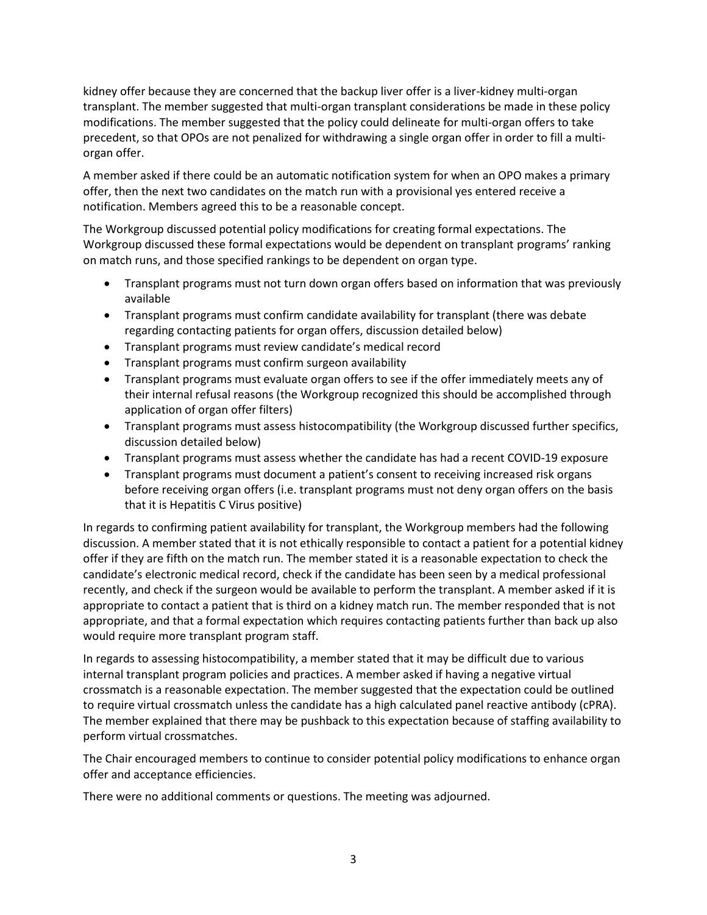kidney offer because they are concerned that the backup liver offer is a liver-kidney multi-organ transplant. The member suggested that multi-organ transplant considerations be made in these policy modifications. The member suggested that the policy could delineate for multi-organ offers to take precedent, so that OPOs are not penalized for withdrawing a single organ offer in order to fill a multiorgan offer.

A member asked if there could be an automatic notification system for when an OPO makes a primary offer, then the next two candidates on the match run with a provisional yes entered receive a notification. Members agreed this to be a reasonable concept.

The Workgroup discussed potential policy modifications for creating formal expectations. The Workgroup discussed these formal expectations would be dependent on transplant programs' ranking on match runs, and those specified rankings to be dependent on organ type.

- Transplant programs must not turn down organ offers based on information that was previously available
- Transplant programs must confirm candidate availability for transplant (there was debate regarding contacting patients for organ offers, discussion detailed below)
- Transplant programs must review candidate's medical record
- Transplant programs must confirm surgeon availability
- Transplant programs must evaluate organ offers to see if the offer immediately meets any of their internal refusal reasons (the Workgroup recognized this should be accomplished through application of organ offer filters)
- Transplant programs must assess histocompatibility (the Workgroup discussed further specifics, discussion detailed below)
- Transplant programs must assess whether the candidate has had a recent COVID-19 exposure
- Transplant programs must document a patient's consent to receiving increased risk organs before receiving organ offers (i.e. transplant programs must not deny organ offers on the basis that it is Hepatitis C Virus positive)

In regards to confirming patient availability for transplant, the Workgroup members had the following discussion. A member stated that it is not ethically responsible to contact a patient for a potential kidney offer if they are fifth on the match run. The member stated it is a reasonable expectation to check the candidate's electronic medical record, check if the candidate has been seen by a medical professional recently, and check if the surgeon would be available to perform the transplant. A member asked if it is appropriate to contact a patient that is third on a kidney match run. The member responded that is not appropriate, and that a formal expectation which requires contacting patients further than back up also would require more transplant program staff.

In regards to assessing histocompatibility, a member stated that it may be difficult due to various internal transplant program policies and practices. A member asked if having a negative virtual crossmatch is a reasonable expectation. The member suggested that the expectation could be outlined to require virtual crossmatch unless the candidate has a high calculated panel reactive antibody (cPRA). The member explained that there may be pushback to this expectation because of staffing availability to perform virtual crossmatches.

The Chair encouraged members to continue to consider potential policy modifications to enhance organ offer and acceptance efficiencies.

There were no additional comments or questions. The meeting was adjourned.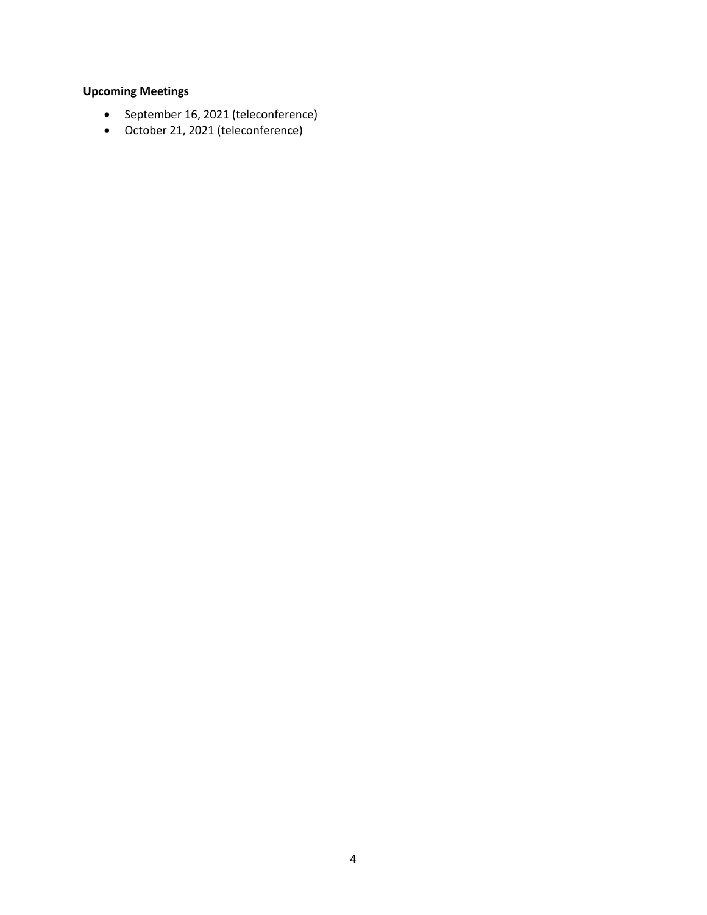# **Upcoming Meetings**

- September 16, 2021 (teleconference)
- October 21, 2021 (teleconference)